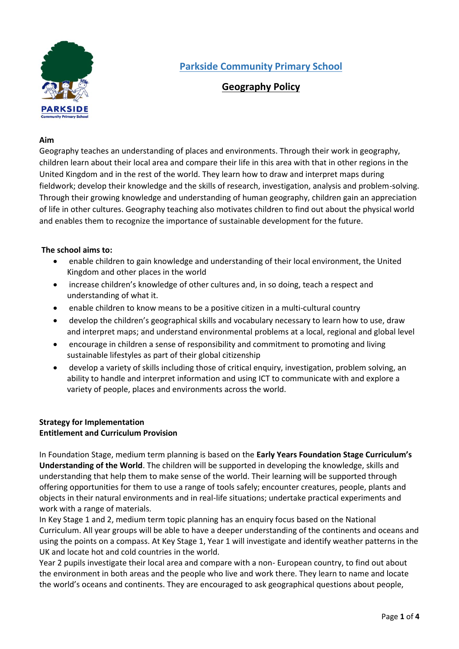

# **Geography Policy**

## **Aim**

Geography teaches an understanding of places and environments. Through their work in geography, children learn about their local area and compare their life in this area with that in other regions in the United Kingdom and in the rest of the world. They learn how to draw and interpret maps during fieldwork; develop their knowledge and the skills of research, investigation, analysis and problem-solving. Through their growing knowledge and understanding of human geography, children gain an appreciation of life in other cultures. Geography teaching also motivates children to find out about the physical world and enables them to recognize the importance of sustainable development for the future.

# **The school aims to:**

- enable children to gain knowledge and understanding of their local environment, the United Kingdom and other places in the world
- increase children's knowledge of other cultures and, in so doing, teach a respect and understanding of what it.
- enable children to know means to be a positive citizen in a multi-cultural country
- develop the children's geographical skills and vocabulary necessary to learn how to use, draw and interpret maps; and understand environmental problems at a local, regional and global level
- encourage in children a sense of responsibility and commitment to promoting and living sustainable lifestyles as part of their global citizenship
- develop a variety of skills including those of critical enquiry, investigation, problem solving, an ability to handle and interpret information and using ICT to communicate with and explore a variety of people, places and environments across the world.

# **Strategy for Implementation Entitlement and Curriculum Provision**

In Foundation Stage, medium term planning is based on the **Early Years Foundation Stage Curriculum's Understanding of the World**. The children will be supported in developing the knowledge, skills and understanding that help them to make sense of the world. Their learning will be supported through offering opportunities for them to use a range of tools safely; encounter creatures, people, plants and objects in their natural environments and in real-life situations; undertake practical experiments and work with a range of materials.

In Key Stage 1 and 2, medium term topic planning has an enquiry focus based on the National Curriculum. All year groups will be able to have a deeper understanding of the continents and oceans and using the points on a compass. At Key Stage 1, Year 1 will investigate and identify weather patterns in the UK and locate hot and cold countries in the world.

Year 2 pupils investigate their local area and compare with a non- European country, to find out about the environment in both areas and the people who live and work there. They learn to name and locate the world's oceans and continents. They are encouraged to ask geographical questions about people,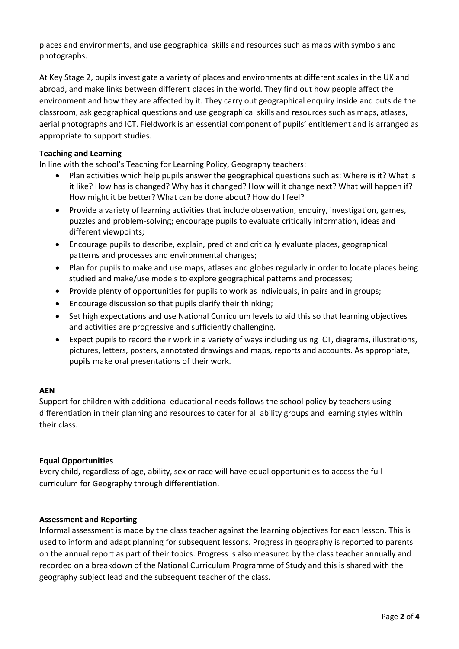places and environments, and use geographical skills and resources such as maps with symbols and photographs.

At Key Stage 2, pupils investigate a variety of places and environments at different scales in the UK and abroad, and make links between different places in the world. They find out how people affect the environment and how they are affected by it. They carry out geographical enquiry inside and outside the classroom, ask geographical questions and use geographical skills and resources such as maps, atlases, aerial photographs and ICT. Fieldwork is an essential component of pupils' entitlement and is arranged as appropriate to support studies.

# **Teaching and Learning**

In line with the school's Teaching for Learning Policy, Geography teachers:

- Plan activities which help pupils answer the geographical questions such as: Where is it? What is it like? How has is changed? Why has it changed? How will it change next? What will happen if? How might it be better? What can be done about? How do I feel?
- Provide a variety of learning activities that include observation, enquiry, investigation, games, puzzles and problem-solving; encourage pupils to evaluate critically information, ideas and different viewpoints;
- Encourage pupils to describe, explain, predict and critically evaluate places, geographical patterns and processes and environmental changes;
- Plan for pupils to make and use maps, atlases and globes regularly in order to locate places being studied and make/use models to explore geographical patterns and processes;
- Provide plenty of opportunities for pupils to work as individuals, in pairs and in groups;
- Encourage discussion so that pupils clarify their thinking;
- Set high expectations and use National Curriculum levels to aid this so that learning objectives and activities are progressive and sufficiently challenging.
- Expect pupils to record their work in a variety of ways including using ICT, diagrams, illustrations, pictures, letters, posters, annotated drawings and maps, reports and accounts. As appropriate, pupils make oral presentations of their work.

# **AEN**

Support for children with additional educational needs follows the school policy by teachers using differentiation in their planning and resources to cater for all ability groups and learning styles within their class.

# **Equal Opportunities**

Every child, regardless of age, ability, sex or race will have equal opportunities to access the full curriculum for Geography through differentiation.

# **Assessment and Reporting**

Informal assessment is made by the class teacher against the learning objectives for each lesson. This is used to inform and adapt planning for subsequent lessons. Progress in geography is reported to parents on the annual report as part of their topics. Progress is also measured by the class teacher annually and recorded on a breakdown of the National Curriculum Programme of Study and this is shared with the geography subject lead and the subsequent teacher of the class.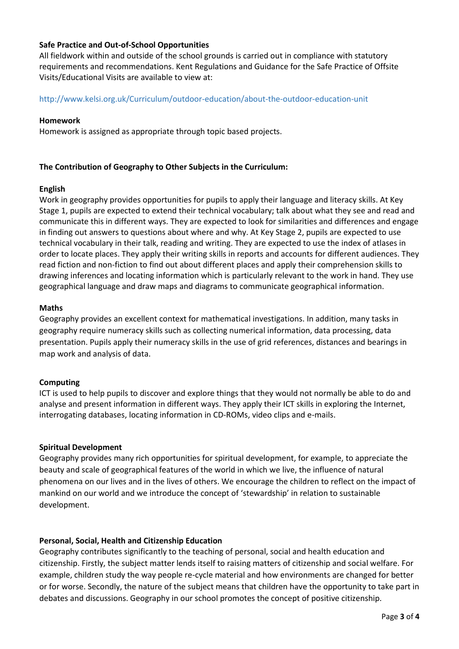# **Safe Practice and Out-of-School Opportunities**

All fieldwork within and outside of the school grounds is carried out in compliance with statutory requirements and recommendations. Kent Regulations and Guidance for the Safe Practice of Offsite Visits/Educational Visits are available to view at:

## http://www.kelsi.org.uk/Curriculum/outdoor-education/about-the-outdoor-education-unit

#### **Homework**

Homework is assigned as appropriate through topic based projects.

## **The Contribution of Geography to Other Subjects in the Curriculum:**

## **English**

Work in geography provides opportunities for pupils to apply their language and literacy skills. At Key Stage 1, pupils are expected to extend their technical vocabulary; talk about what they see and read and communicate this in different ways. They are expected to look for similarities and differences and engage in finding out answers to questions about where and why. At Key Stage 2, pupils are expected to use technical vocabulary in their talk, reading and writing. They are expected to use the index of atlases in order to locate places. They apply their writing skills in reports and accounts for different audiences. They read fiction and non-fiction to find out about different places and apply their comprehension skills to drawing inferences and locating information which is particularly relevant to the work in hand. They use geographical language and draw maps and diagrams to communicate geographical information.

## **Maths**

Geography provides an excellent context for mathematical investigations. In addition, many tasks in geography require numeracy skills such as collecting numerical information, data processing, data presentation. Pupils apply their numeracy skills in the use of grid references, distances and bearings in map work and analysis of data.

#### **Computing**

ICT is used to help pupils to discover and explore things that they would not normally be able to do and analyse and present information in different ways. They apply their ICT skills in exploring the Internet, interrogating databases, locating information in CD-ROMs, video clips and e-mails.

#### **Spiritual Development**

Geography provides many rich opportunities for spiritual development, for example, to appreciate the beauty and scale of geographical features of the world in which we live, the influence of natural phenomena on our lives and in the lives of others. We encourage the children to reflect on the impact of mankind on our world and we introduce the concept of 'stewardship' in relation to sustainable development.

#### **Personal, Social, Health and Citizenship Education**

Geography contributes significantly to the teaching of personal, social and health education and citizenship. Firstly, the subject matter lends itself to raising matters of citizenship and social welfare. For example, children study the way people re-cycle material and how environments are changed for better or for worse. Secondly, the nature of the subject means that children have the opportunity to take part in debates and discussions. Geography in our school promotes the concept of positive citizenship.